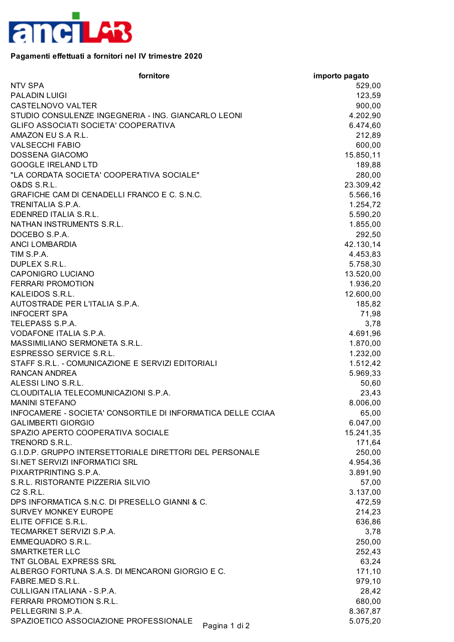

## **Pagamenti effettuati a fornitori nel IV trimestre 2020**

| fornitore                                                   | importo pagato |
|-------------------------------------------------------------|----------------|
| <b>NTV SPA</b>                                              | 529,00         |
| <b>PALADIN LUIGI</b>                                        | 123,59         |
| <b>CASTELNOVO VALTER</b>                                    | 900,00         |
| STUDIO CONSULENZE INGEGNERIA - ING. GIANCARLO LEONI         | 4.202,90       |
| GLIFO ASSOCIATI SOCIETA' COOPERATIVA                        | 6.474,60       |
| AMAZON EU S.A R.L.                                          | 212,89         |
| <b>VALSECCHI FABIO</b>                                      | 600,00         |
| DOSSENA GIACOMO                                             | 15.850,11      |
| <b>GOOGLE IRELAND LTD</b>                                   | 189,88         |
| "LA CORDATA SOCIETA' COOPERATIVA SOCIALE"                   | 280,00         |
| <b>O&amp;DS S.R.L.</b>                                      | 23.309,42      |
| GRAFICHE CAM DI CENADELLI FRANCO E C. S.N.C.                | 5.566,16       |
| TRENITALIA S.P.A.                                           | 1.254,72       |
| EDENRED ITALIA S.R.L.                                       | 5.590,20       |
| NATHAN INSTRUMENTS S.R.L.                                   | 1.855,00       |
| DOCEBO S.P.A.                                               | 292,50         |
| <b>ANCI LOMBARDIA</b>                                       | 42.130,14      |
| TIM S.P.A.                                                  | 4.453,83       |
| DUPLEX S.R.L.                                               | 5.758,30       |
| CAPONIGRO LUCIANO                                           | 13.520,00      |
| <b>FERRARI PROMOTION</b>                                    | 1.936,20       |
| KALEIDOS S.R.L.                                             | 12.600,00      |
| AUTOSTRADE PER L'ITALIA S.P.A.                              | 185,82         |
| <b>INFOCERT SPA</b>                                         | 71,98          |
| TELEPASS S.P.A.                                             | 3,78           |
| VODAFONE ITALIA S.P.A.                                      | 4.691,96       |
| MASSIMILIANO SERMONETA S.R.L.                               | 1.870,00       |
| <b>ESPRESSO SERVICE S.R.L.</b>                              | 1.232,00       |
| STAFF S.R.L. - COMUNICAZIONE E SERVIZI EDITORIALI           | 1.512,42       |
| <b>RANCAN ANDREA</b>                                        | 5.969,33       |
| ALESSI LINO S.R.L.                                          | 50,60          |
| CLOUDITALIA TELECOMUNICAZIONI S.P.A.                        | 23,43          |
| <b>MANINI STEFANO</b>                                       | 8.006,00       |
| INFOCAMERE - SOCIETA' CONSORTILE DI INFORMATICA DELLE CCIAA | 65,00          |
| <b>GALIMBERTI GIORGIO</b>                                   | 6.047,00       |
| SPAZIO APERTO COOPERATIVA SOCIALE                           | 15.241,35      |
| TRENORD S.R.L.                                              | 171,64         |
| G.I.D.P. GRUPPO INTERSETTORIALE DIRETTORI DEL PERSONALE     | 250,00         |
| SI.NET SERVIZI INFORMATICI SRL                              | 4.954,36       |
| PIXARTPRINTING S.P.A.                                       | 3.891,90       |
| S.R.L. RISTORANTE PIZZERIA SILVIO                           | 57,00          |
| C2 S.R.L.                                                   | 3.137,00       |
| DPS INFORMATICA S.N.C. DI PRESELLO GIANNI & C.              | 472,59         |
| <b>SURVEY MONKEY EUROPE</b>                                 | 214,23         |
| ELITE OFFICE S.R.L.                                         | 636,86         |
| TECMARKET SERVIZI S.P.A.                                    | 3,78           |
| EMMEQUADRO S.R.L.                                           | 250,00         |
| <b>SMARTKETER LLC</b>                                       | 252,43         |
| TNT GLOBAL EXPRESS SRL                                      | 63,24          |
| ALBERGO FORTUNA S.A.S. DI MENCARONI GIORGIO E C.            | 171,10         |
| FABRE.MED S.R.L.                                            | 979,10         |
| CULLIGAN ITALIANA - S.P.A.                                  | 28,42          |
| FERRARI PROMOTION S.R.L.                                    | 680,00         |
| PELLEGRINI S.P.A.                                           | 8.367,87       |
| SPAZIOETICO ASSOCIAZIONE PROFESSIONALE<br>Pagina 1 di 2     | 5.075,20       |
|                                                             |                |